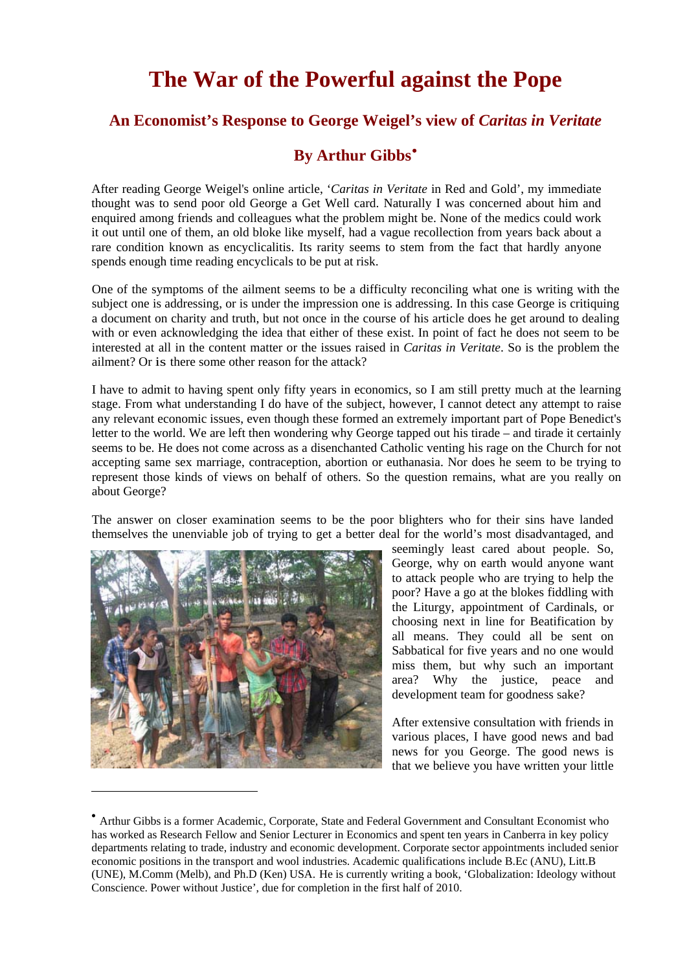## **The War of the Powerful against the Pope**

## **An Economist's Response to George Weigel's view of** *Caritas in Veritate*

## **By Arthur Gibbs**[•](#page-0-0)

After reading George Weigel's online article, '*Caritas in Veritate* in Red and Gold', my immediate thought was to send poor old George a Get Well card. Naturally I was concerned about him and enquired among friends and colleagues what the problem might be. None of the medics could work it out until one of them, an old bloke like myself, had a vague recollection from years back about a rare condition known as encyclicalitis. Its rarity seems to stem from the fact that hardly anyone spends enough time reading encyclicals to be put at risk.

One of the symptoms of the ailment seems to be a difficulty reconciling what one is writing with the subject one is addressing, or is under the impression one is addressing. In this case George is critiquing a document on charity and truth, but not once in the course of his article does he get around to dealing with or even acknowledging the idea that either of these exist. In point of fact he does not seem to be interested at all in the content matter or the issues raised in *Caritas in Veritate*. So is the problem the ailment? Or is there some other reason for the attack?

I have to admit to having spent only fifty years in economics, so I am still pretty much at the learning stage. From what understanding I do have of the subject, however, I cannot detect any attempt to raise any relevant economic issues, even though these formed an extremely important part of Pope Benedict's letter to the world. We are left then wondering why George tapped out his tirade – and tirade it certainly seems to be. He does not come across as a disenchanted Catholic venting his rage on the Church for not accepting same sex marriage, contraception, abortion or euthanasia. Nor does he seem to be trying to represent those kinds of views on behalf of others. So the question remains, what are you really on about George?

The answer on closer examination seems to be the poor blighters who for their sins have landed themselves the unenviable job of trying to get a better deal for the world's most disadvantaged, and



 $\overline{a}$ 

seemingly least cared about people. So, George, why on earth would anyone want to attack people who are trying to help the poor? Have a go at the blokes fiddling with the Liturgy, appointment of Cardinals, or choosing next in line for Beatification by all means. They could all be sent on Sabbatical for five years and no one would miss them, but why such an important area? Why the justice, peace and development team for goodness sake?

After extensive consultation with friends in various places, I have good news and bad news for you George. The good news is that we believe you have written your little

<span id="page-0-0"></span><sup>•</sup> Arthur Gibbs is a former Academic, Corporate, State and Federal Government and Consultant Economist who has worked as Research Fellow and Senior Lecturer in Economics and spent ten years in Canberra in key policy departments relating to trade, industry and economic development. Corporate sector appointments included senior economic positions in the transport and wool industries. Academic qualifications include B.Ec (ANU), Litt.B (UNE), M.Comm (Melb), and Ph.D (Ken) USA. He is currently writing a book, 'Globalization: Ideology without Conscience. Power without Justice', due for completion in the first half of 2010.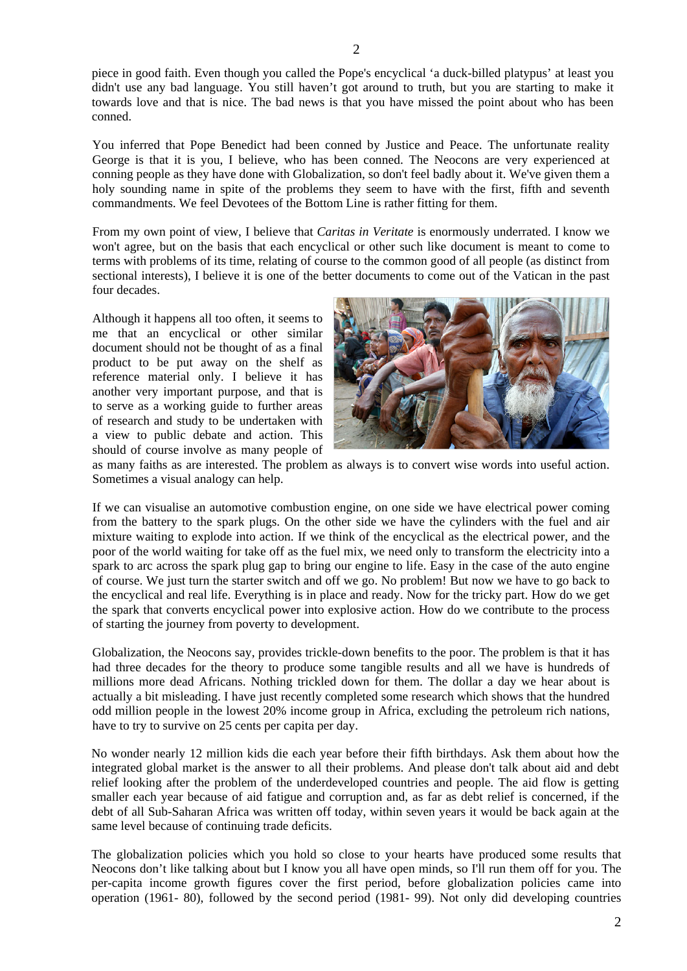piece in good faith. Even though you called the Pope's encyclical 'a duck-billed platypus' at least you didn't use any bad language. You still haven't got around to truth, but you are starting to make it towards love and that is nice. The bad news is that you have missed the point about who has been conned.

You inferred that Pope Benedict had been conned by Justice and Peace. The unfortunate reality George is that it is you, I believe, who has been conned. The Neocons are very experienced at conning people as they have done with Globalization, so don't feel badly about it. We've given them a holy sounding name in spite of the problems they seem to have with the first, fifth and seventh commandments. We feel Devotees of the Bottom Line is rather fitting for them.

From my own point of view, I believe that *Caritas in Veritate* is enormously underrated. I know we won't agree, but on the basis that each encyclical or other such like document is meant to come to terms with problems of its time, relating of course to the common good of all people (as distinct from sectional interests), I believe it is one of the better documents to come out of the Vatican in the past four decades.

Although it happens all too often, it seems to me that an encyclical or other similar document should not be thought of as a final product to be put away on the shelf as reference material only. I believe it has another very important purpose, and that is to serve as a working guide to further areas of research and study to be undertaken with a view to public debate and action. This should of course involve as many people of



as many faiths as are interested. The problem as always is to convert wise words into useful action. Sometimes a visual analogy can help.

If we can visualise an automotive combustion engine, on one side we have electrical power coming from the battery to the spark plugs. On the other side we have the cylinders with the fuel and air mixture waiting to explode into action. If we think of the encyclical as the electrical power, and the poor of the world waiting for take off as the fuel mix, we need only to transform the electricity into a spark to arc across the spark plug gap to bring our engine to life. Easy in the case of the auto engine of course. We just turn the starter switch and off we go. No problem! But now we have to go back to the encyclical and real life. Everything is in place and ready. Now for the tricky part. How do we get the spark that converts encyclical power into explosive action. How do we contribute to the process of starting the journey from poverty to development.

Globalization, the Neocons say, provides trickle-down benefits to the poor. The problem is that it has had three decades for the theory to produce some tangible results and all we have is hundreds of millions more dead Africans. Nothing trickled down for them. The dollar a day we hear about is actually a bit misleading. I have just recently completed some research which shows that the hundred odd million people in the lowest 20% income group in Africa, excluding the petroleum rich nations, have to try to survive on 25 cents per capita per day.

No wonder nearly 12 million kids die each year before their fifth birthdays. Ask them about how the integrated global market is the answer to all their problems. And please don't talk about aid and debt relief looking after the problem of the underdeveloped countries and people. The aid flow is getting smaller each year because of aid fatigue and corruption and, as far as debt relief is concerned, if the debt of all Sub-Saharan Africa was written off today, within seven years it would be back again at the same level because of continuing trade deficits.

The globalization policies which you hold so close to your hearts have produced some results that Neocons don't like talking about but I know you all have open minds, so I'll run them off for you. The per-capita income growth figures cover the first period, before globalization policies came into operation (1961- 80), followed by the second period (1981- 99). Not only did developing countries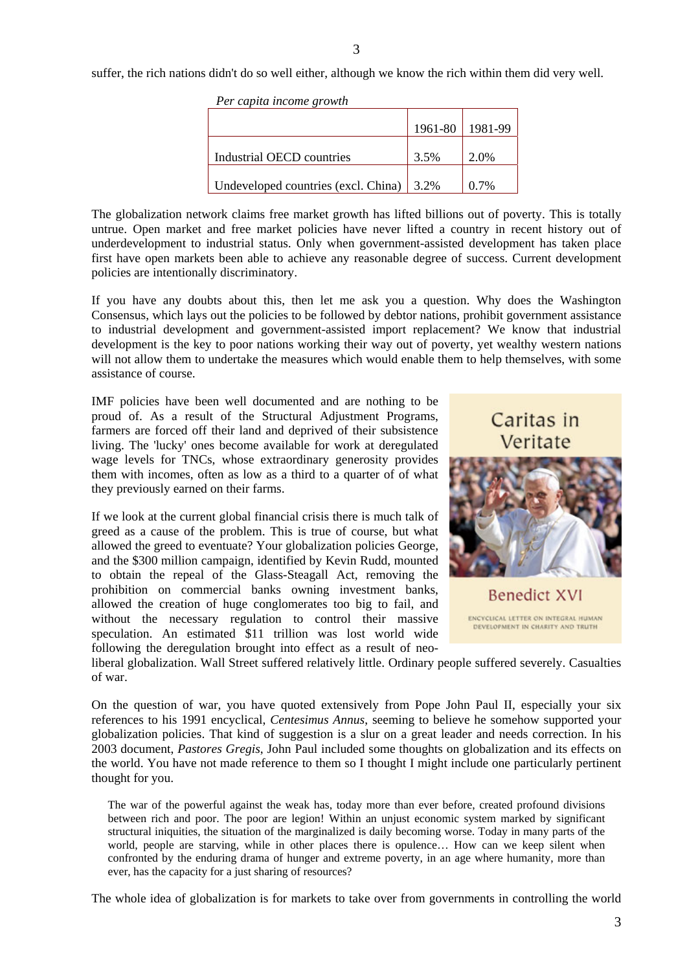suffer, the rich nations didn't do so well either, although we know the rich within them did very well.

| Per capita income growth                         |         |         |
|--------------------------------------------------|---------|---------|
|                                                  | 1961-80 | 1981-99 |
| Industrial OECD countries                        | 3.5%    | 2.0%    |
| Undeveloped countries (excl. China) $\vert$ 3.2% |         | $0.7\%$ |

The globalization network claims free market growth has lifted billions out of poverty. This is totally untrue. Open market and free market policies have never lifted a country in recent history out of underdevelopment to industrial status. Only when government-assisted development has taken place first have open markets been able to achieve any reasonable degree of success. Current development policies are intentionally discriminatory.

If you have any doubts about this, then let me ask you a question. Why does the Washington Consensus, which lays out the policies to be followed by debtor nations, prohibit government assistance to industrial development and government-assisted import replacement? We know that industrial development is the key to poor nations working their way out of poverty, yet wealthy western nations will not allow them to undertake the measures which would enable them to help themselves, with some assistance of course.

IMF policies have been well documented and are nothing to be proud of. As a result of the Structural Adjustment Programs, farmers are forced off their land and deprived of their subsistence living. The 'lucky' ones become available for work at deregulated wage levels for TNCs, whose extraordinary generosity provides them with incomes, often as low as a third to a quarter of of what they previously earned on their farms.

If we look at the current global financial crisis there is much talk of greed as a cause of the problem. This is true of course, but what allowed the greed to eventuate? Your globalization policies George, and the \$300 million campaign, identified by Kevin Rudd, mounted to obtain the repeal of the Glass-Steagall Act, removing the prohibition on commercial banks owning investment banks, allowed the creation of huge conglomerates too big to fail, and without the necessary regulation to control their massive speculation. An estimated \$11 trillion was lost world wide following the deregulation brought into effect as a result of neo-



liberal globalization. Wall Street suffered relatively little. Ordinary people suffered severely. Casualties of war.

On the question of war, you have quoted extensively from Pope John Paul II, especially your six references to his 1991 encyclical, *Centesimus Annus*, seeming to believe he somehow supported your globalization policies. That kind of suggestion is a slur on a great leader and needs correction. In his 2003 document, *Pastores Gregis*, John Paul included some thoughts on globalization and its effects on the world. You have not made reference to them so I thought I might include one particularly pertinent thought for you.

The war of the powerful against the weak has, today more than ever before, created profound divisions between rich and poor. The poor are legion! Within an unjust economic system marked by significant structural iniquities, the situation of the marginalized is daily becoming worse. Today in many parts of the world, people are starving, while in other places there is opulence… How can we keep silent when confronted by the enduring drama of hunger and extreme poverty, in an age where humanity, more than ever, has the capacity for a just sharing of resources?

The whole idea of globalization is for markets to take over from governments in controlling the world